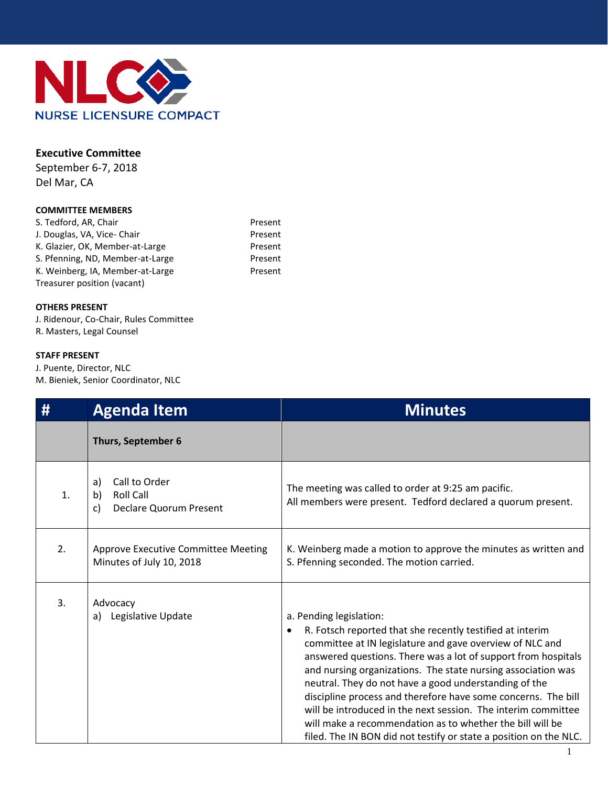

## **Executive Committee**

September 6-7, 2018 Del Mar, CA

### **COMMITTEE MEMBERS**

| Present |
|---------|
| Present |
| Present |
| Present |
| Present |
|         |
|         |

### **OTHERS PRESENT**

J. Ridenour, Co-Chair, Rules Committee R. Masters, Legal Counsel

### **STAFF PRESENT**

J. Puente, Director, NLC M. Bieniek, Senior Coordinator, NLC

| #  | <b>Agenda Item</b>                                                                   | <b>Minutes</b>                                                                                                                                                                                                                                                                                                                                                                                                                                                                                                                                                                                                      |  |  |
|----|--------------------------------------------------------------------------------------|---------------------------------------------------------------------------------------------------------------------------------------------------------------------------------------------------------------------------------------------------------------------------------------------------------------------------------------------------------------------------------------------------------------------------------------------------------------------------------------------------------------------------------------------------------------------------------------------------------------------|--|--|
|    | Thurs, September 6                                                                   |                                                                                                                                                                                                                                                                                                                                                                                                                                                                                                                                                                                                                     |  |  |
| 1. | Call to Order<br>a)<br><b>Roll Call</b><br>b)<br><b>Declare Quorum Present</b><br>c) | The meeting was called to order at 9:25 am pacific.<br>All members were present. Tedford declared a quorum present.                                                                                                                                                                                                                                                                                                                                                                                                                                                                                                 |  |  |
| 2. | Approve Executive Committee Meeting<br>Minutes of July 10, 2018                      | K. Weinberg made a motion to approve the minutes as written and<br>S. Pfenning seconded. The motion carried.                                                                                                                                                                                                                                                                                                                                                                                                                                                                                                        |  |  |
| 3. | Advocacy<br>a) Legislative Update                                                    | a. Pending legislation:<br>R. Fotsch reported that she recently testified at interim<br>٠<br>committee at IN legislature and gave overview of NLC and<br>answered questions. There was a lot of support from hospitals<br>and nursing organizations. The state nursing association was<br>neutral. They do not have a good understanding of the<br>discipline process and therefore have some concerns. The bill<br>will be introduced in the next session. The interim committee<br>will make a recommendation as to whether the bill will be<br>filed. The IN BON did not testify or state a position on the NLC. |  |  |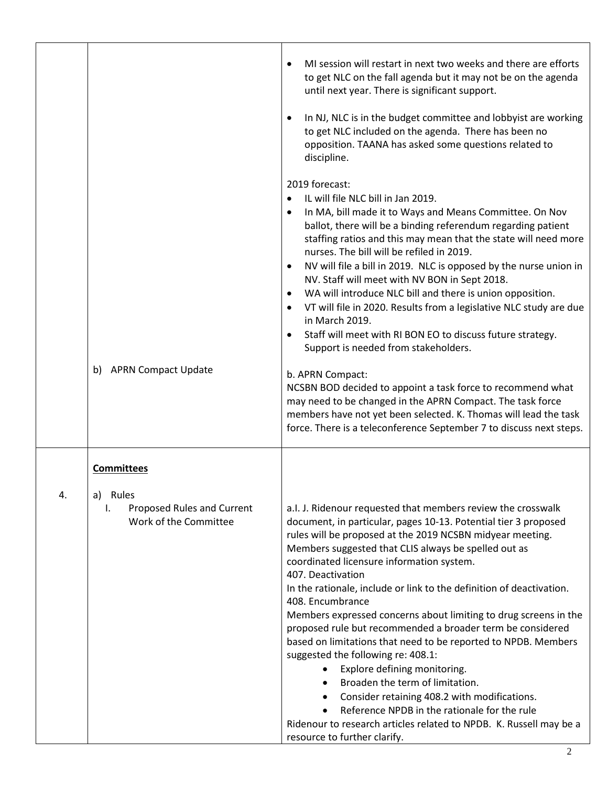|    |                                                                          | MI session will restart in next two weeks and there are efforts<br>to get NLC on the fall agenda but it may not be on the agenda<br>until next year. There is significant support.<br>In NJ, NLC is in the budget committee and lobbyist are working<br>to get NLC included on the agenda. There has been no<br>opposition. TAANA has asked some questions related to<br>discipline.                                                                                                                                                                                                                                                                                                                                                                                                                                                                                                                                                  |
|----|--------------------------------------------------------------------------|---------------------------------------------------------------------------------------------------------------------------------------------------------------------------------------------------------------------------------------------------------------------------------------------------------------------------------------------------------------------------------------------------------------------------------------------------------------------------------------------------------------------------------------------------------------------------------------------------------------------------------------------------------------------------------------------------------------------------------------------------------------------------------------------------------------------------------------------------------------------------------------------------------------------------------------|
|    | <b>APRN Compact Update</b><br>b)                                         | 2019 forecast:<br>IL will file NLC bill in Jan 2019.<br>In MA, bill made it to Ways and Means Committee. On Nov<br>ballot, there will be a binding referendum regarding patient<br>staffing ratios and this may mean that the state will need more<br>nurses. The bill will be refiled in 2019.<br>NV will file a bill in 2019. NLC is opposed by the nurse union in<br>NV. Staff will meet with NV BON in Sept 2018.<br>WA will introduce NLC bill and there is union opposition.<br>$\bullet$<br>VT will file in 2020. Results from a legislative NLC study are due<br>in March 2019.<br>Staff will meet with RI BON EO to discuss future strategy.<br>Support is needed from stakeholders.<br>b. APRN Compact:                                                                                                                                                                                                                     |
|    |                                                                          | NCSBN BOD decided to appoint a task force to recommend what<br>may need to be changed in the APRN Compact. The task force<br>members have not yet been selected. K. Thomas will lead the task<br>force. There is a teleconference September 7 to discuss next steps.                                                                                                                                                                                                                                                                                                                                                                                                                                                                                                                                                                                                                                                                  |
|    | <b>Committees</b>                                                        |                                                                                                                                                                                                                                                                                                                                                                                                                                                                                                                                                                                                                                                                                                                                                                                                                                                                                                                                       |
| 4. | Rules<br>a)<br>Proposed Rules and Current<br>ı.<br>Work of the Committee | a.I. J. Ridenour requested that members review the crosswalk<br>document, in particular, pages 10-13. Potential tier 3 proposed<br>rules will be proposed at the 2019 NCSBN midyear meeting.<br>Members suggested that CLIS always be spelled out as<br>coordinated licensure information system.<br>407. Deactivation<br>In the rationale, include or link to the definition of deactivation.<br>408. Encumbrance<br>Members expressed concerns about limiting to drug screens in the<br>proposed rule but recommended a broader term be considered<br>based on limitations that need to be reported to NPDB. Members<br>suggested the following re: 408.1:<br>Explore defining monitoring.<br>Broaden the term of limitation.<br>Consider retaining 408.2 with modifications.<br>Reference NPDB in the rationale for the rule<br>Ridenour to research articles related to NPDB. K. Russell may be a<br>resource to further clarify. |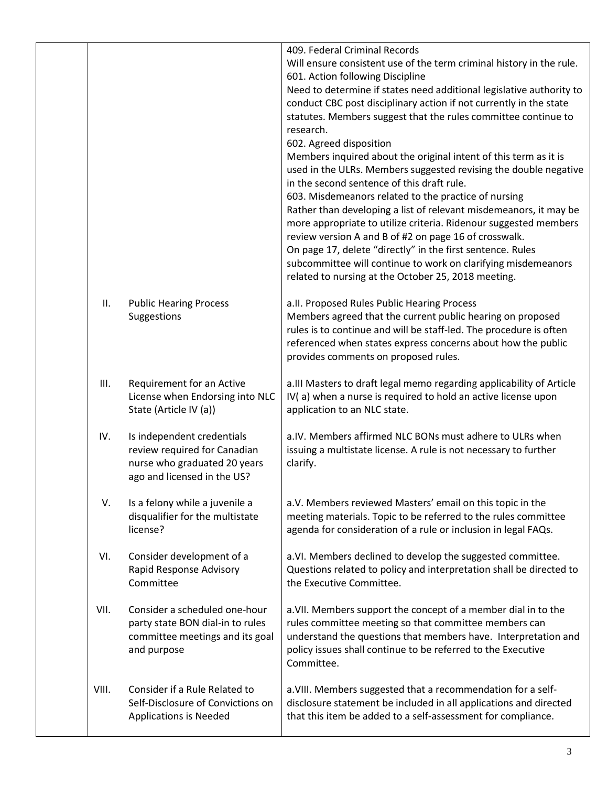|       |                                                                                                                           | 409. Federal Criminal Records<br>Will ensure consistent use of the term criminal history in the rule.<br>601. Action following Discipline<br>Need to determine if states need additional legislative authority to<br>conduct CBC post disciplinary action if not currently in the state<br>statutes. Members suggest that the rules committee continue to<br>research.<br>602. Agreed disposition<br>Members inquired about the original intent of this term as it is<br>used in the ULRs. Members suggested revising the double negative<br>in the second sentence of this draft rule.<br>603. Misdemeanors related to the practice of nursing<br>Rather than developing a list of relevant misdemeanors, it may be<br>more appropriate to utilize criteria. Ridenour suggested members<br>review version A and B of #2 on page 16 of crosswalk.<br>On page 17, delete "directly" in the first sentence. Rules<br>subcommittee will continue to work on clarifying misdemeanors<br>related to nursing at the October 25, 2018 meeting. |
|-------|---------------------------------------------------------------------------------------------------------------------------|-----------------------------------------------------------------------------------------------------------------------------------------------------------------------------------------------------------------------------------------------------------------------------------------------------------------------------------------------------------------------------------------------------------------------------------------------------------------------------------------------------------------------------------------------------------------------------------------------------------------------------------------------------------------------------------------------------------------------------------------------------------------------------------------------------------------------------------------------------------------------------------------------------------------------------------------------------------------------------------------------------------------------------------------|
| Ш.    | <b>Public Hearing Process</b><br>Suggestions                                                                              | a.II. Proposed Rules Public Hearing Process<br>Members agreed that the current public hearing on proposed<br>rules is to continue and will be staff-led. The procedure is often<br>referenced when states express concerns about how the public<br>provides comments on proposed rules.                                                                                                                                                                                                                                                                                                                                                                                                                                                                                                                                                                                                                                                                                                                                                 |
| III.  | Requirement for an Active<br>License when Endorsing into NLC<br>State (Article IV (a))                                    | a.III Masters to draft legal memo regarding applicability of Article<br>IV(a) when a nurse is required to hold an active license upon<br>application to an NLC state.                                                                                                                                                                                                                                                                                                                                                                                                                                                                                                                                                                                                                                                                                                                                                                                                                                                                   |
| IV.   | Is independent credentials<br>review required for Canadian<br>nurse who graduated 20 years<br>ago and licensed in the US? | a.IV. Members affirmed NLC BONs must adhere to ULRs when<br>issuing a multistate license. A rule is not necessary to further<br>clarify.                                                                                                                                                                                                                                                                                                                                                                                                                                                                                                                                                                                                                                                                                                                                                                                                                                                                                                |
| V.    | Is a felony while a juvenile a<br>disqualifier for the multistate<br>license?                                             | a.V. Members reviewed Masters' email on this topic in the<br>meeting materials. Topic to be referred to the rules committee<br>agenda for consideration of a rule or inclusion in legal FAQs.                                                                                                                                                                                                                                                                                                                                                                                                                                                                                                                                                                                                                                                                                                                                                                                                                                           |
| VI.   | Consider development of a<br>Rapid Response Advisory<br>Committee                                                         | a.VI. Members declined to develop the suggested committee.<br>Questions related to policy and interpretation shall be directed to<br>the Executive Committee.                                                                                                                                                                                                                                                                                                                                                                                                                                                                                                                                                                                                                                                                                                                                                                                                                                                                           |
| VII.  | Consider a scheduled one-hour<br>party state BON dial-in to rules<br>committee meetings and its goal<br>and purpose       | a. VII. Members support the concept of a member dial in to the<br>rules committee meeting so that committee members can<br>understand the questions that members have. Interpretation and<br>policy issues shall continue to be referred to the Executive<br>Committee.                                                                                                                                                                                                                                                                                                                                                                                                                                                                                                                                                                                                                                                                                                                                                                 |
| VIII. | Consider if a Rule Related to<br>Self-Disclosure of Convictions on<br>Applications is Needed                              | a. VIII. Members suggested that a recommendation for a self-<br>disclosure statement be included in all applications and directed<br>that this item be added to a self-assessment for compliance.                                                                                                                                                                                                                                                                                                                                                                                                                                                                                                                                                                                                                                                                                                                                                                                                                                       |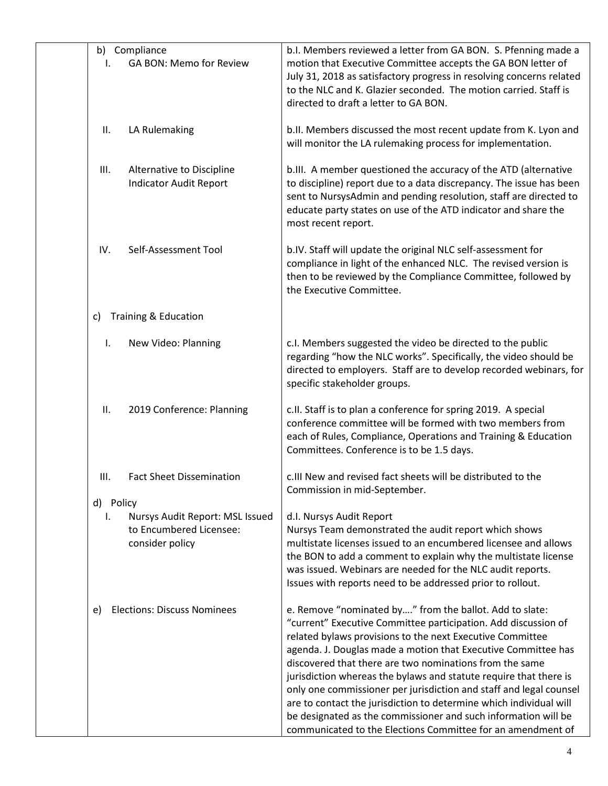| I.              | b) Compliance<br>GA BON: Memo for Review                                      | b.I. Members reviewed a letter from GA BON. S. Pfenning made a<br>motion that Executive Committee accepts the GA BON letter of<br>July 31, 2018 as satisfactory progress in resolving concerns related<br>to the NLC and K. Glazier seconded. The motion carried. Staff is<br>directed to draft a letter to GA BON.                                                                                                                                                                                                                                                                                                                                                  |
|-----------------|-------------------------------------------------------------------------------|----------------------------------------------------------------------------------------------------------------------------------------------------------------------------------------------------------------------------------------------------------------------------------------------------------------------------------------------------------------------------------------------------------------------------------------------------------------------------------------------------------------------------------------------------------------------------------------------------------------------------------------------------------------------|
| Ш.              | LA Rulemaking                                                                 | b.II. Members discussed the most recent update from K. Lyon and<br>will monitor the LA rulemaking process for implementation.                                                                                                                                                                                                                                                                                                                                                                                                                                                                                                                                        |
| III.            | Alternative to Discipline<br><b>Indicator Audit Report</b>                    | b.III. A member questioned the accuracy of the ATD (alternative<br>to discipline) report due to a data discrepancy. The issue has been<br>sent to NursysAdmin and pending resolution, staff are directed to<br>educate party states on use of the ATD indicator and share the<br>most recent report.                                                                                                                                                                                                                                                                                                                                                                 |
| IV.             | Self-Assessment Tool                                                          | b.IV. Staff will update the original NLC self-assessment for<br>compliance in light of the enhanced NLC. The revised version is<br>then to be reviewed by the Compliance Committee, followed by<br>the Executive Committee.                                                                                                                                                                                                                                                                                                                                                                                                                                          |
| C)              | <b>Training &amp; Education</b>                                               |                                                                                                                                                                                                                                                                                                                                                                                                                                                                                                                                                                                                                                                                      |
| Ι.              | New Video: Planning                                                           | c.I. Members suggested the video be directed to the public<br>regarding "how the NLC works". Specifically, the video should be<br>directed to employers. Staff are to develop recorded webinars, for<br>specific stakeholder groups.                                                                                                                                                                                                                                                                                                                                                                                                                                 |
| ΙΙ.             | 2019 Conference: Planning                                                     | c.II. Staff is to plan a conference for spring 2019. A special<br>conference committee will be formed with two members from<br>each of Rules, Compliance, Operations and Training & Education<br>Committees. Conference is to be 1.5 days.                                                                                                                                                                                                                                                                                                                                                                                                                           |
| Ш.              | <b>Fact Sheet Dissemination</b>                                               | c.III New and revised fact sheets will be distributed to the<br>Commission in mid-September.                                                                                                                                                                                                                                                                                                                                                                                                                                                                                                                                                                         |
| d) Policy<br>ı. | Nursys Audit Report: MSL Issued<br>to Encumbered Licensee:<br>consider policy | d.I. Nursys Audit Report<br>Nursys Team demonstrated the audit report which shows<br>multistate licenses issued to an encumbered licensee and allows                                                                                                                                                                                                                                                                                                                                                                                                                                                                                                                 |
|                 |                                                                               | the BON to add a comment to explain why the multistate license<br>was issued. Webinars are needed for the NLC audit reports.<br>Issues with reports need to be addressed prior to rollout.                                                                                                                                                                                                                                                                                                                                                                                                                                                                           |
| e)              | <b>Elections: Discuss Nominees</b>                                            | e. Remove "nominated by" from the ballot. Add to slate:<br>"current" Executive Committee participation. Add discussion of<br>related bylaws provisions to the next Executive Committee<br>agenda. J. Douglas made a motion that Executive Committee has<br>discovered that there are two nominations from the same<br>jurisdiction whereas the bylaws and statute require that there is<br>only one commissioner per jurisdiction and staff and legal counsel<br>are to contact the jurisdiction to determine which individual will<br>be designated as the commissioner and such information will be<br>communicated to the Elections Committee for an amendment of |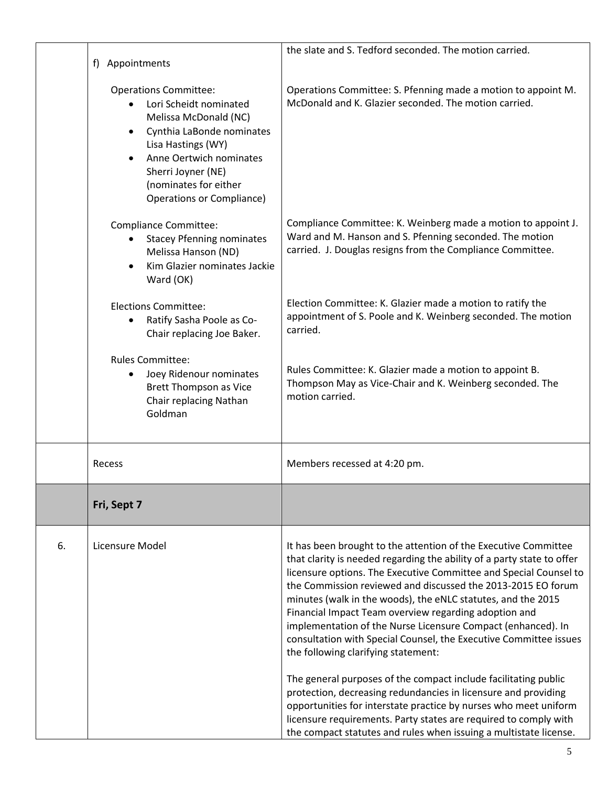|    | f) Appointments                                                                                                                                                                                                  | the slate and S. Tedford seconded. The motion carried.                                                                                                                                                                                                                                                                                                                                                                                                                                                                                                                              |
|----|------------------------------------------------------------------------------------------------------------------------------------------------------------------------------------------------------------------|-------------------------------------------------------------------------------------------------------------------------------------------------------------------------------------------------------------------------------------------------------------------------------------------------------------------------------------------------------------------------------------------------------------------------------------------------------------------------------------------------------------------------------------------------------------------------------------|
|    | <b>Operations Committee:</b>                                                                                                                                                                                     | Operations Committee: S. Pfenning made a motion to appoint M.                                                                                                                                                                                                                                                                                                                                                                                                                                                                                                                       |
|    | Lori Scheidt nominated<br>Melissa McDonald (NC)<br>Cynthia LaBonde nominates<br>Lisa Hastings (WY)<br>Anne Oertwich nominates<br>Sherri Joyner (NE)<br>(nominates for either<br><b>Operations or Compliance)</b> | McDonald and K. Glazier seconded. The motion carried.                                                                                                                                                                                                                                                                                                                                                                                                                                                                                                                               |
|    | <b>Compliance Committee:</b><br><b>Stacey Pfenning nominates</b><br>Melissa Hanson (ND)<br>Kim Glazier nominates Jackie<br>Ward (OK)                                                                             | Compliance Committee: K. Weinberg made a motion to appoint J.<br>Ward and M. Hanson and S. Pfenning seconded. The motion<br>carried. J. Douglas resigns from the Compliance Committee.                                                                                                                                                                                                                                                                                                                                                                                              |
|    | <b>Elections Committee:</b><br>Ratify Sasha Poole as Co-<br>Chair replacing Joe Baker.                                                                                                                           | Election Committee: K. Glazier made a motion to ratify the<br>appointment of S. Poole and K. Weinberg seconded. The motion<br>carried.                                                                                                                                                                                                                                                                                                                                                                                                                                              |
|    | <b>Rules Committee:</b><br>Joey Ridenour nominates<br>٠<br><b>Brett Thompson as Vice</b><br>Chair replacing Nathan<br>Goldman                                                                                    | Rules Committee: K. Glazier made a motion to appoint B.<br>Thompson May as Vice-Chair and K. Weinberg seconded. The<br>motion carried.                                                                                                                                                                                                                                                                                                                                                                                                                                              |
|    | Recess                                                                                                                                                                                                           | Members recessed at 4:20 pm.                                                                                                                                                                                                                                                                                                                                                                                                                                                                                                                                                        |
|    | Fri, Sept 7                                                                                                                                                                                                      |                                                                                                                                                                                                                                                                                                                                                                                                                                                                                                                                                                                     |
| 6. | Licensure Model                                                                                                                                                                                                  | It has been brought to the attention of the Executive Committee<br>that clarity is needed regarding the ability of a party state to offer<br>licensure options. The Executive Committee and Special Counsel to<br>the Commission reviewed and discussed the 2013-2015 EO forum<br>minutes (walk in the woods), the eNLC statutes, and the 2015<br>Financial Impact Team overview regarding adoption and<br>implementation of the Nurse Licensure Compact (enhanced). In<br>consultation with Special Counsel, the Executive Committee issues<br>the following clarifying statement: |
|    |                                                                                                                                                                                                                  | The general purposes of the compact include facilitating public<br>protection, decreasing redundancies in licensure and providing<br>opportunities for interstate practice by nurses who meet uniform<br>licensure requirements. Party states are required to comply with<br>the compact statutes and rules when issuing a multistate license.                                                                                                                                                                                                                                      |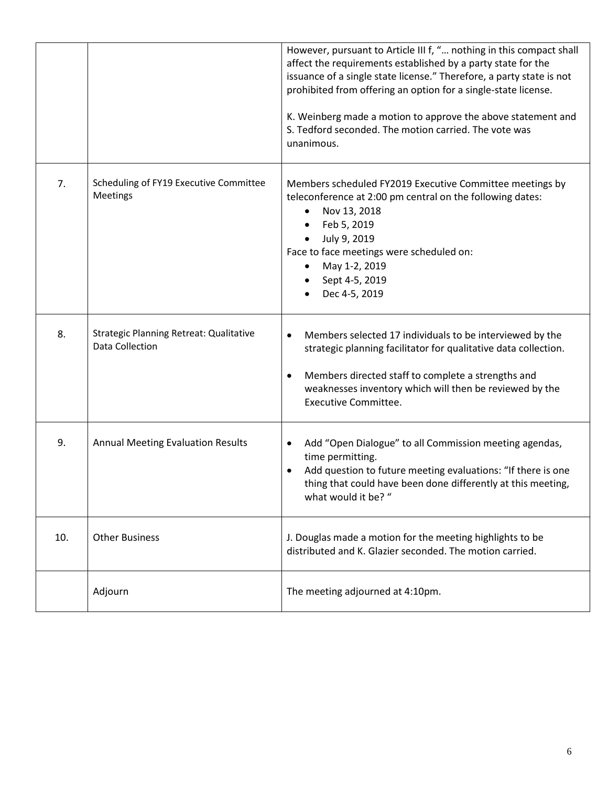|     |                                                                   | However, pursuant to Article III f, " nothing in this compact shall<br>affect the requirements established by a party state for the<br>issuance of a single state license." Therefore, a party state is not<br>prohibited from offering an option for a single-state license.<br>K. Weinberg made a motion to approve the above statement and<br>S. Tedford seconded. The motion carried. The vote was<br>unanimous. |
|-----|-------------------------------------------------------------------|----------------------------------------------------------------------------------------------------------------------------------------------------------------------------------------------------------------------------------------------------------------------------------------------------------------------------------------------------------------------------------------------------------------------|
| 7.  | Scheduling of FY19 Executive Committee<br>Meetings                | Members scheduled FY2019 Executive Committee meetings by<br>teleconference at 2:00 pm central on the following dates:<br>Nov 13, 2018<br>Feb 5, 2019<br>July 9, 2019<br>$\bullet$<br>Face to face meetings were scheduled on:<br>May 1-2, 2019<br>Sept 4-5, 2019<br>Dec 4-5, 2019                                                                                                                                    |
| 8.  | <b>Strategic Planning Retreat: Qualitative</b><br>Data Collection | Members selected 17 individuals to be interviewed by the<br>$\bullet$<br>strategic planning facilitator for qualitative data collection.<br>Members directed staff to complete a strengths and<br>$\bullet$<br>weaknesses inventory which will then be reviewed by the<br><b>Executive Committee.</b>                                                                                                                |
| 9.  | <b>Annual Meeting Evaluation Results</b>                          | Add "Open Dialogue" to all Commission meeting agendas,<br>$\bullet$<br>time permitting.<br>Add question to future meeting evaluations: "If there is one<br>thing that could have been done differently at this meeting,<br>what would it be? "                                                                                                                                                                       |
| 10. | <b>Other Business</b>                                             | J. Douglas made a motion for the meeting highlights to be<br>distributed and K. Glazier seconded. The motion carried.                                                                                                                                                                                                                                                                                                |
|     | Adjourn                                                           | The meeting adjourned at 4:10pm.                                                                                                                                                                                                                                                                                                                                                                                     |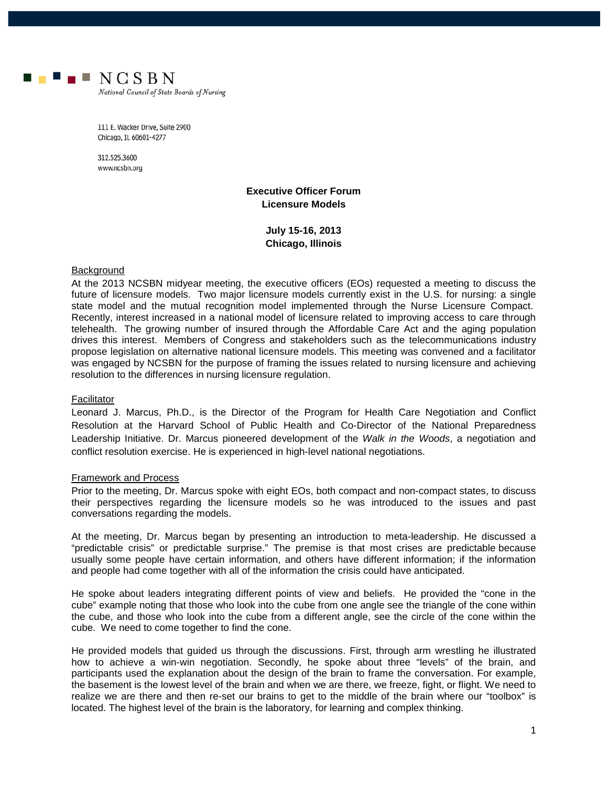

National Council of State Boards of Nursing

111 E. Wacker Drive, Suite 2900 Chicago, IL 60601-4277

312.525.3600 www.ncsbn.org

### **Executive Officer Forum Licensure Models**

**July 15-16, 2013 Chicago, Illinois**

### Background

At the 2013 NCSBN midyear meeting, the executive officers (EOs) requested a meeting to discuss the future of licensure models. Two major licensure models currently exist in the U.S. for nursing: a single state model and the mutual recognition model implemented through the Nurse Licensure Compact. Recently, interest increased in a national model of licensure related to improving access to care through telehealth. The growing number of insured through the Affordable Care Act and the aging population drives this interest. Members of Congress and stakeholders such as the telecommunications industry propose legislation on alternative national licensure models. This meeting was convened and a facilitator was engaged by NCSBN for the purpose of framing the issues related to nursing licensure and achieving resolution to the differences in nursing licensure regulation.

### Facilitator

Leonard J. Marcus, Ph.D., is the Director of the Program for Health Care Negotiation and Conflict Resolution at the Harvard School of Public Health and Co-Director of the National Preparedness Leadership Initiative. Dr. Marcus pioneered development of the *Walk in the Woods*, a negotiation and conflict resolution exercise. He is experienced in high-level national negotiations.

### Framework and Process

Prior to the meeting, Dr. Marcus spoke with eight EOs, both compact and non-compact states, to discuss their perspectives regarding the licensure models so he was introduced to the issues and past conversations regarding the models.

At the meeting, Dr. Marcus began by presenting an introduction to meta-leadership. He discussed a "predictable crisis" or predictable surprise." The premise is that most crises are predictable because usually some people have certain information, and others have different information; if the information and people had come together with all of the information the crisis could have anticipated.

He spoke about leaders integrating different points of view and beliefs. He provided the "cone in the cube" example noting that those who look into the cube from one angle see the triangle of the cone within the cube, and those who look into the cube from a different angle, see the circle of the cone within the cube. We need to come together to find the cone.

He provided models that guided us through the discussions. First, through arm wrestling he illustrated how to achieve a win-win negotiation. Secondly, he spoke about three "levels" of the brain, and participants used the explanation about the design of the brain to frame the conversation. For example, the basement is the lowest level of the brain and when we are there, we freeze, fight, or flight. We need to realize we are there and then re-set our brains to get to the middle of the brain where our "toolbox" is located. The highest level of the brain is the laboratory, for learning and complex thinking.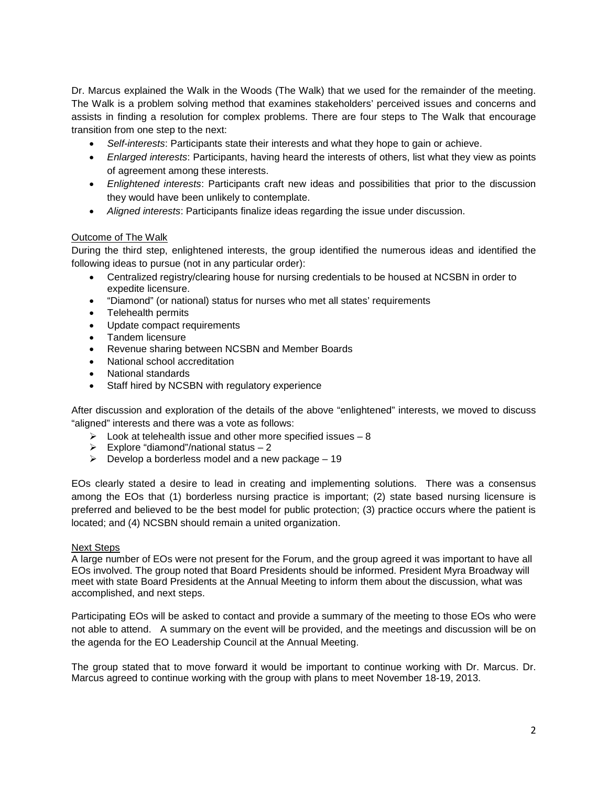Dr. Marcus explained the Walk in the Woods (The Walk) that we used for the remainder of the meeting. The Walk is a problem solving method that examines stakeholders' perceived issues and concerns and assists in finding a resolution for complex problems. There are four steps to The Walk that encourage transition from one step to the next:

- *Self-interests*: Participants state their interests and what they hope to gain or achieve.
- *Enlarged interests*: Participants, having heard the interests of others, list what they view as points of agreement among these interests.
- *Enlightened interests*: Participants craft new ideas and possibilities that prior to the discussion they would have been unlikely to contemplate.
- *Aligned interests*: Participants finalize ideas regarding the issue under discussion.

### Outcome of The Walk

During the third step, enlightened interests, the group identified the numerous ideas and identified the following ideas to pursue (not in any particular order):

- Centralized registry/clearing house for nursing credentials to be housed at NCSBN in order to expedite licensure.
- "Diamond" (or national) status for nurses who met all states' requirements
- Telehealth permits
- Update compact requirements
- Tandem licensure
- Revenue sharing between NCSBN and Member Boards
- National school accreditation
- National standards
- Staff hired by NCSBN with regulatory experience

After discussion and exploration of the details of the above "enlightened" interests, we moved to discuss "aligned" interests and there was a vote as follows:

- $\geq$  Look at telehealth issue and other more specified issues 8
- $\triangleright$  Explore "diamond"/national status 2
- $\triangleright$  Develop a borderless model and a new package 19

EOs clearly stated a desire to lead in creating and implementing solutions. There was a consensus among the EOs that (1) borderless nursing practice is important; (2) state based nursing licensure is preferred and believed to be the best model for public protection; (3) practice occurs where the patient is located; and (4) NCSBN should remain a united organization.

### Next Steps

A large number of EOs were not present for the Forum, and the group agreed it was important to have all EOs involved. The group noted that Board Presidents should be informed. President Myra Broadway will meet with state Board Presidents at the Annual Meeting to inform them about the discussion, what was accomplished, and next steps.

Participating EOs will be asked to contact and provide a summary of the meeting to those EOs who were not able to attend. A summary on the event will be provided, and the meetings and discussion will be on the agenda for the EO Leadership Council at the Annual Meeting.

The group stated that to move forward it would be important to continue working with Dr. Marcus. Dr. Marcus agreed to continue working with the group with plans to meet November 18-19, 2013.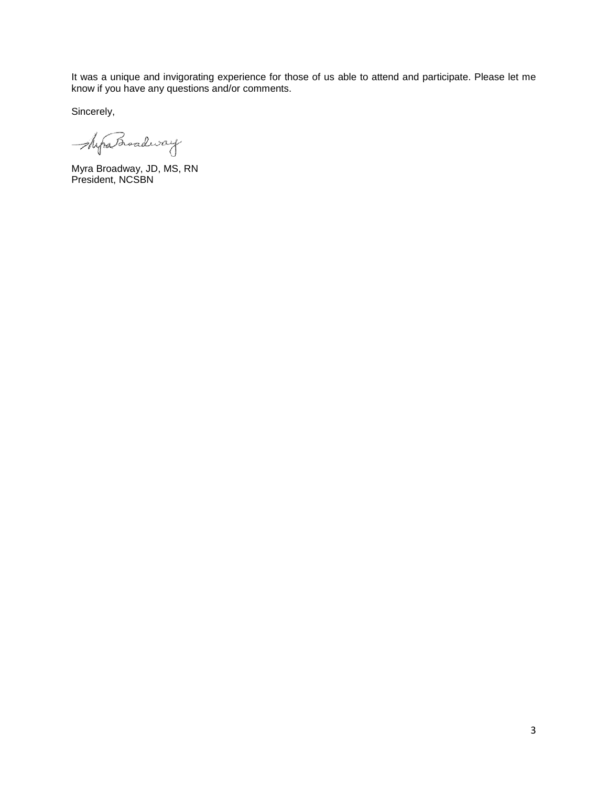It was a unique and invigorating experience for those of us able to attend and participate. Please let me know if you have any questions and/or comments.

Sincerely,

ShipsBroadway

Myra Broadway, JD, MS, RN President, NCSBN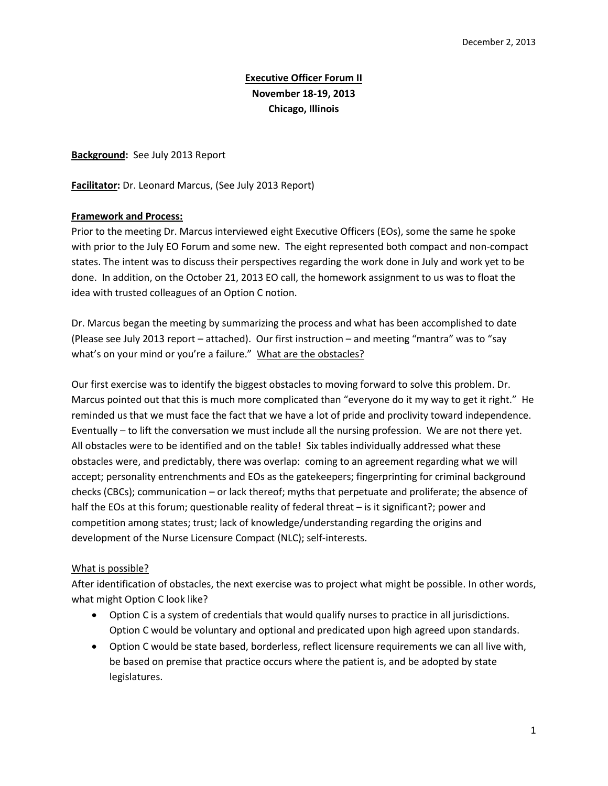# **Executive Officer Forum II November 18-19, 2013 Chicago, Illinois**

**Background:** See July 2013 Report

**Facilitator:** Dr. Leonard Marcus, (See July 2013 Report)

### **Framework and Process:**

Prior to the meeting Dr. Marcus interviewed eight Executive Officers (EOs), some the same he spoke with prior to the July EO Forum and some new. The eight represented both compact and non-compact states. The intent was to discuss their perspectives regarding the work done in July and work yet to be done. In addition, on the October 21, 2013 EO call, the homework assignment to us was to float the idea with trusted colleagues of an Option C notion.

Dr. Marcus began the meeting by summarizing the process and what has been accomplished to date (Please see July 2013 report – attached). Our first instruction – and meeting "mantra" was to "say what's on your mind or you're a failure." What are the obstacles?

Our first exercise was to identify the biggest obstacles to moving forward to solve this problem. Dr. Marcus pointed out that this is much more complicated than "everyone do it my way to get it right." He reminded us that we must face the fact that we have a lot of pride and proclivity toward independence. Eventually – to lift the conversation we must include all the nursing profession. We are not there yet. All obstacles were to be identified and on the table! Six tables individually addressed what these obstacles were, and predictably, there was overlap: coming to an agreement regarding what we will accept; personality entrenchments and EOs as the gatekeepers; fingerprinting for criminal background checks (CBCs); communication – or lack thereof; myths that perpetuate and proliferate; the absence of half the EOs at this forum; questionable reality of federal threat – is it significant?; power and competition among states; trust; lack of knowledge/understanding regarding the origins and development of the Nurse Licensure Compact (NLC); self-interests.

### What is possible?

After identification of obstacles, the next exercise was to project what might be possible. In other words, what might Option C look like?

- Option C is a system of credentials that would qualify nurses to practice in all jurisdictions. Option C would be voluntary and optional and predicated upon high agreed upon standards.
- Option C would be state based, borderless, reflect licensure requirements we can all live with, be based on premise that practice occurs where the patient is, and be adopted by state legislatures.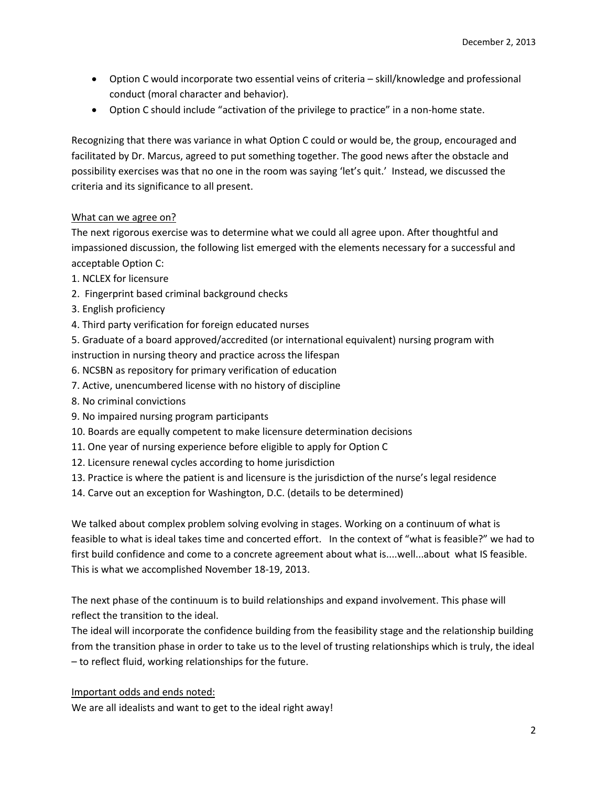- Option C would incorporate two essential veins of criteria skill/knowledge and professional conduct (moral character and behavior).
- Option C should include "activation of the privilege to practice" in a non-home state.

Recognizing that there was variance in what Option C could or would be, the group, encouraged and facilitated by Dr. Marcus, agreed to put something together. The good news after the obstacle and possibility exercises was that no one in the room was saying 'let's quit.' Instead, we discussed the criteria and its significance to all present.

## What can we agree on?

The next rigorous exercise was to determine what we could all agree upon. After thoughtful and impassioned discussion, the following list emerged with the elements necessary for a successful and acceptable Option C:

- 1. NCLEX for licensure
- 2. Fingerprint based criminal background checks
- 3. English proficiency
- 4. Third party verification for foreign educated nurses
- 5. Graduate of a board approved/accredited (or international equivalent) nursing program with instruction in nursing theory and practice across the lifespan
- 6. NCSBN as repository for primary verification of education
- 7. Active, unencumbered license with no history of discipline
- 8. No criminal convictions
- 9. No impaired nursing program participants
- 10. Boards are equally competent to make licensure determination decisions
- 11. One year of nursing experience before eligible to apply for Option C
- 12. Licensure renewal cycles according to home jurisdiction
- 13. Practice is where the patient is and licensure is the jurisdiction of the nurse's legal residence
- 14. Carve out an exception for Washington, D.C. (details to be determined)

We talked about complex problem solving evolving in stages. Working on a continuum of what is feasible to what is ideal takes time and concerted effort. In the context of "what is feasible?" we had to first build confidence and come to a concrete agreement about what is....well...about what IS feasible. This is what we accomplished November 18-19, 2013.

The next phase of the continuum is to build relationships and expand involvement. This phase will reflect the transition to the ideal.

The ideal will incorporate the confidence building from the feasibility stage and the relationship building from the transition phase in order to take us to the level of trusting relationships which is truly, the ideal – to reflect fluid, working relationships for the future.

### Important odds and ends noted:

We are all idealists and want to get to the ideal right away!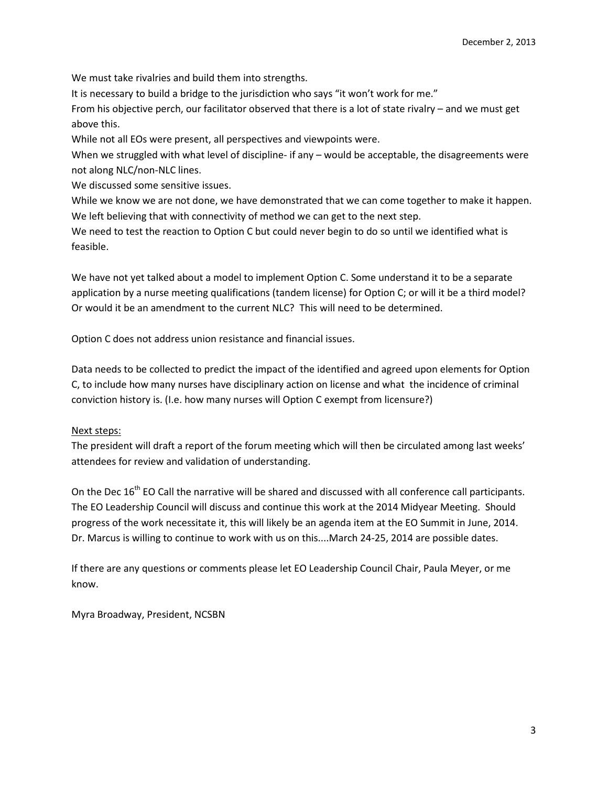We must take rivalries and build them into strengths.

It is necessary to build a bridge to the jurisdiction who says "it won't work for me."

From his objective perch, our facilitator observed that there is a lot of state rivalry – and we must get above this.

While not all EOs were present, all perspectives and viewpoints were.

When we struggled with what level of discipline- if any – would be acceptable, the disagreements were not along NLC/non-NLC lines.

We discussed some sensitive issues.

While we know we are not done, we have demonstrated that we can come together to make it happen. We left believing that with connectivity of method we can get to the next step.

We need to test the reaction to Option C but could never begin to do so until we identified what is feasible.

We have not yet talked about a model to implement Option C. Some understand it to be a separate application by a nurse meeting qualifications (tandem license) for Option C; or will it be a third model? Or would it be an amendment to the current NLC? This will need to be determined.

Option C does not address union resistance and financial issues.

Data needs to be collected to predict the impact of the identified and agreed upon elements for Option C, to include how many nurses have disciplinary action on license and what the incidence of criminal conviction history is. (I.e. how many nurses will Option C exempt from licensure?)

## Next steps:

The president will draft a report of the forum meeting which will then be circulated among last weeks' attendees for review and validation of understanding.

On the Dec 16<sup>th</sup> EO Call the narrative will be shared and discussed with all conference call participants. The EO Leadership Council will discuss and continue this work at the 2014 Midyear Meeting. Should progress of the work necessitate it, this will likely be an agenda item at the EO Summit in June, 2014. Dr. Marcus is willing to continue to work with us on this....March 24-25, 2014 are possible dates.

If there are any questions or comments please let EO Leadership Council Chair, Paula Meyer, or me know.

Myra Broadway, President, NCSBN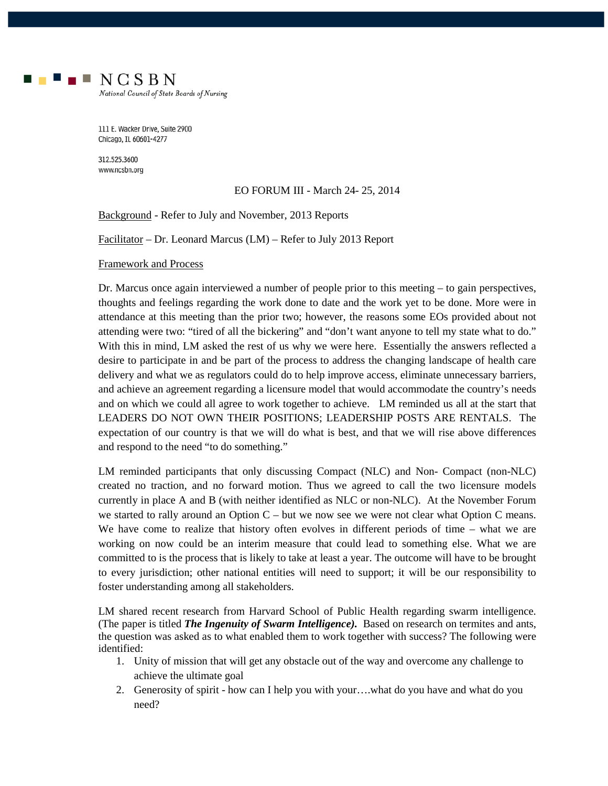

National Council of State Boards of Nursing

111 E. Wacker Drive, Suite 2900 Chicago, IL 60601-4277

312.525.3600 www.ncsbn.org

### EO FORUM III - March 24- 25, 2014

Background - Refer to July and November, 2013 Reports

Facilitator – Dr. Leonard Marcus (LM) – Refer to July 2013 Report

Framework and Process

Dr. Marcus once again interviewed a number of people prior to this meeting – to gain perspectives, thoughts and feelings regarding the work done to date and the work yet to be done. More were in attendance at this meeting than the prior two; however, the reasons some EOs provided about not attending were two: "tired of all the bickering" and "don't want anyone to tell my state what to do." With this in mind, LM asked the rest of us why we were here. Essentially the answers reflected a desire to participate in and be part of the process to address the changing landscape of health care delivery and what we as regulators could do to help improve access, eliminate unnecessary barriers, and achieve an agreement regarding a licensure model that would accommodate the country's needs and on which we could all agree to work together to achieve. LM reminded us all at the start that LEADERS DO NOT OWN THEIR POSITIONS; LEADERSHIP POSTS ARE RENTALS. The expectation of our country is that we will do what is best, and that we will rise above differences and respond to the need "to do something."

LM reminded participants that only discussing Compact (NLC) and Non- Compact (non-NLC) created no traction, and no forward motion. Thus we agreed to call the two licensure models currently in place A and B (with neither identified as NLC or non-NLC). At the November Forum we started to rally around an Option  $C$  – but we now see we were not clear what Option C means. We have come to realize that history often evolves in different periods of time – what we are working on now could be an interim measure that could lead to something else. What we are committed to is the process that is likely to take at least a year. The outcome will have to be brought to every jurisdiction; other national entities will need to support; it will be our responsibility to foster understanding among all stakeholders.

LM shared recent research from Harvard School of Public Health regarding swarm intelligence. (The paper is titled *The Ingenuity of Swarm Intelligence).* Based on research on termites and ants, the question was asked as to what enabled them to work together with success? The following were identified:

- 1. Unity of mission that will get any obstacle out of the way and overcome any challenge to achieve the ultimate goal
- 2. Generosity of spirit how can I help you with your….what do you have and what do you need?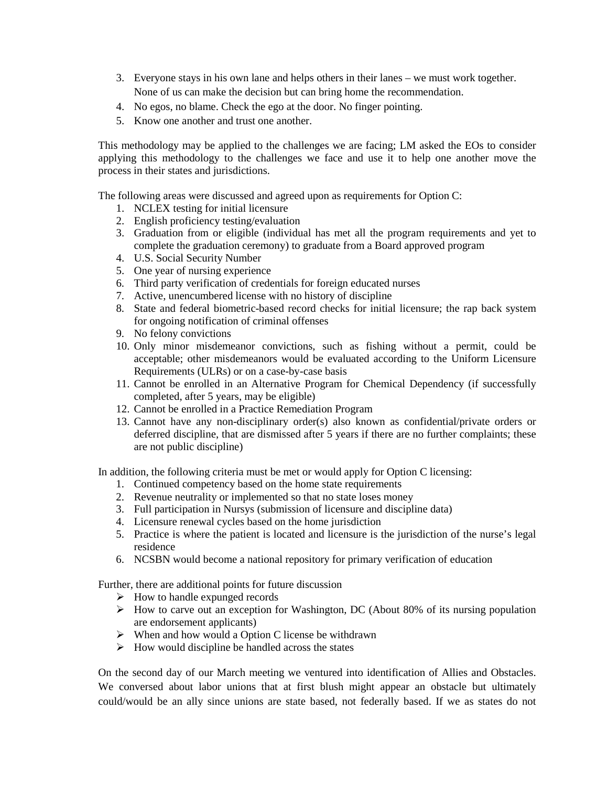- 3. Everyone stays in his own lane and helps others in their lanes we must work together. None of us can make the decision but can bring home the recommendation.
- 4. No egos, no blame. Check the ego at the door. No finger pointing.
- 5. Know one another and trust one another.

This methodology may be applied to the challenges we are facing; LM asked the EOs to consider applying this methodology to the challenges we face and use it to help one another move the process in their states and jurisdictions.

The following areas were discussed and agreed upon as requirements for Option C:

- 1. NCLEX testing for initial licensure
- 2. English proficiency testing/evaluation
- 3. Graduation from or eligible (individual has met all the program requirements and yet to complete the graduation ceremony) to graduate from a Board approved program
- 4. U.S. Social Security Number
- 5. One year of nursing experience
- 6. Third party verification of credentials for foreign educated nurses
- 7. Active, unencumbered license with no history of discipline
- 8. State and federal biometric-based record checks for initial licensure; the rap back system for ongoing notification of criminal offenses
- 9. No felony convictions
- 10. Only minor misdemeanor convictions, such as fishing without a permit, could be acceptable; other misdemeanors would be evaluated according to the Uniform Licensure Requirements (ULRs) or on a case-by-case basis
- 11. Cannot be enrolled in an Alternative Program for Chemical Dependency (if successfully completed, after 5 years, may be eligible)
- 12. Cannot be enrolled in a Practice Remediation Program
- 13. Cannot have any non-disciplinary order(s) also known as confidential/private orders or deferred discipline, that are dismissed after 5 years if there are no further complaints; these are not public discipline)

In addition, the following criteria must be met or would apply for Option C licensing:

- 1. Continued competency based on the home state requirements
- 2. Revenue neutrality or implemented so that no state loses money
- 3. Full participation in Nursys (submission of licensure and discipline data)
- 4. Licensure renewal cycles based on the home jurisdiction
- 5. Practice is where the patient is located and licensure is the jurisdiction of the nurse's legal residence
- 6. NCSBN would become a national repository for primary verification of education

Further, there are additional points for future discussion

- $\triangleright$  How to handle expunged records
- $\triangleright$  How to carve out an exception for Washington, DC (About 80% of its nursing population are endorsement applicants)
- $\triangleright$  When and how would a Option C license be withdrawn
- $\triangleright$  How would discipline be handled across the states

On the second day of our March meeting we ventured into identification of Allies and Obstacles. We conversed about labor unions that at first blush might appear an obstacle but ultimately could/would be an ally since unions are state based, not federally based. If we as states do not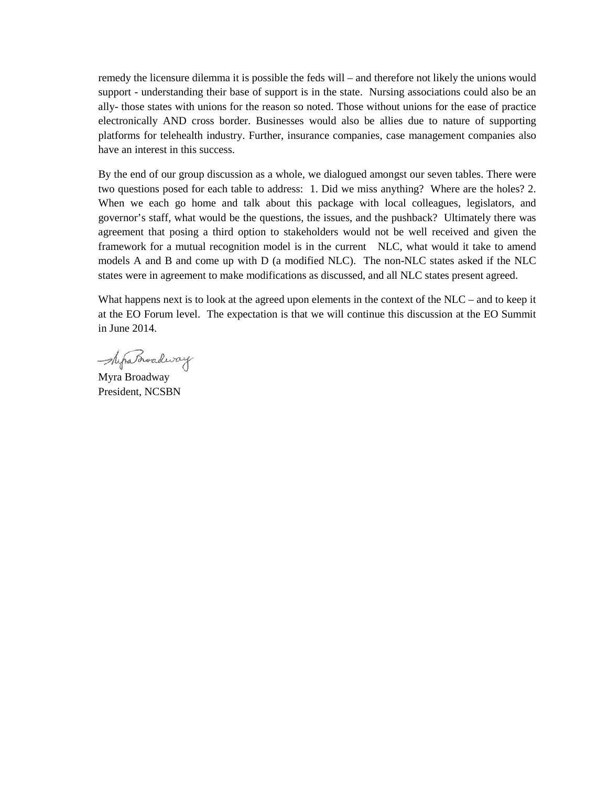remedy the licensure dilemma it is possible the feds will – and therefore not likely the unions would support - understanding their base of support is in the state. Nursing associations could also be an ally- those states with unions for the reason so noted. Those without unions for the ease of practice electronically AND cross border. Businesses would also be allies due to nature of supporting platforms for telehealth industry. Further, insurance companies, case management companies also have an interest in this success.

By the end of our group discussion as a whole, we dialogued amongst our seven tables. There were two questions posed for each table to address: 1. Did we miss anything? Where are the holes? 2. When we each go home and talk about this package with local colleagues, legislators, and governor's staff, what would be the questions, the issues, and the pushback? Ultimately there was agreement that posing a third option to stakeholders would not be well received and given the framework for a mutual recognition model is in the current NLC, what would it take to amend models A and B and come up with D (a modified NLC). The non-NLC states asked if the NLC states were in agreement to make modifications as discussed, and all NLC states present agreed.

What happens next is to look at the agreed upon elements in the context of the NLC – and to keep it at the EO Forum level. The expectation is that we will continue this discussion at the EO Summit in June 2014.

- Myra Broadway

Myra Broadway President, NCSBN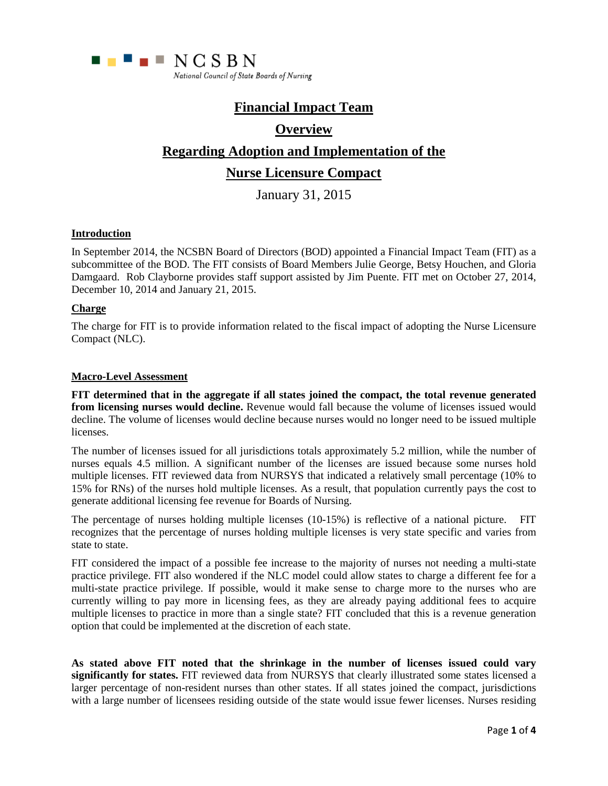

# **Financial Impact Team**

# **Overview**

# **Regarding Adoption and Implementation of the**

# **Nurse Licensure Compact**

January 31, 2015

### **Introduction**

In September 2014, the NCSBN Board of Directors (BOD) appointed a Financial Impact Team (FIT) as a subcommittee of the BOD. The FIT consists of Board Members Julie George, Betsy Houchen, and Gloria Damgaard. Rob Clayborne provides staff support assisted by Jim Puente. FIT met on October 27, 2014, December 10, 2014 and January 21, 2015.

### **Charge**

The charge for FIT is to provide information related to the fiscal impact of adopting the Nurse Licensure Compact (NLC).

### **Macro-Level Assessment**

**FIT determined that in the aggregate if all states joined the compact, the total revenue generated from licensing nurses would decline.** Revenue would fall because the volume of licenses issued would decline. The volume of licenses would decline because nurses would no longer need to be issued multiple licenses.

The number of licenses issued for all jurisdictions totals approximately 5.2 million, while the number of nurses equals 4.5 million. A significant number of the licenses are issued because some nurses hold multiple licenses. FIT reviewed data from NURSYS that indicated a relatively small percentage (10% to 15% for RNs) of the nurses hold multiple licenses. As a result, that population currently pays the cost to generate additional licensing fee revenue for Boards of Nursing.

The percentage of nurses holding multiple licenses (10-15%) is reflective of a national picture. FIT recognizes that the percentage of nurses holding multiple licenses is very state specific and varies from state to state.

FIT considered the impact of a possible fee increase to the majority of nurses not needing a multi-state practice privilege. FIT also wondered if the NLC model could allow states to charge a different fee for a multi-state practice privilege. If possible, would it make sense to charge more to the nurses who are currently willing to pay more in licensing fees, as they are already paying additional fees to acquire multiple licenses to practice in more than a single state? FIT concluded that this is a revenue generation option that could be implemented at the discretion of each state.

**As stated above FIT noted that the shrinkage in the number of licenses issued could vary significantly for states.** FIT reviewed data from NURSYS that clearly illustrated some states licensed a larger percentage of non-resident nurses than other states. If all states joined the compact, jurisdictions with a large number of licensees residing outside of the state would issue fewer licenses. Nurses residing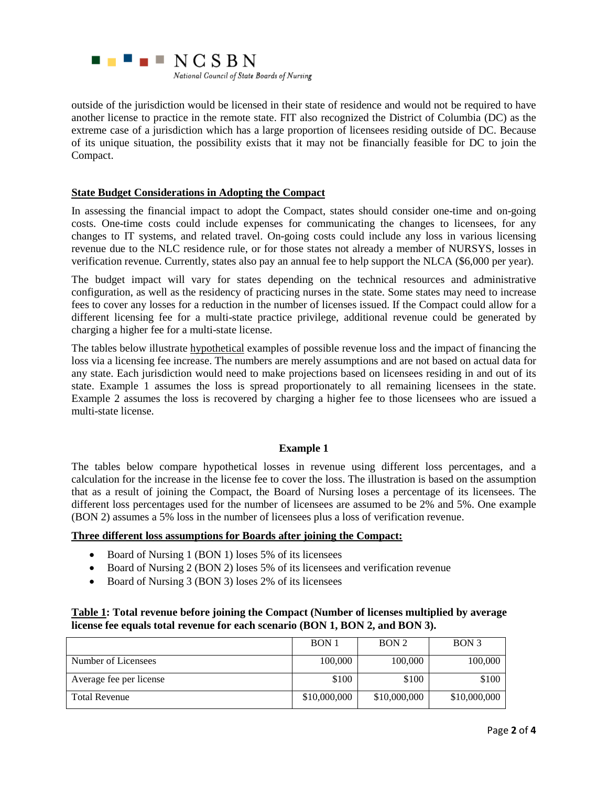

outside of the jurisdiction would be licensed in their state of residence and would not be required to have another license to practice in the remote state. FIT also recognized the District of Columbia (DC) as the extreme case of a jurisdiction which has a large proportion of licensees residing outside of DC. Because of its unique situation, the possibility exists that it may not be financially feasible for DC to join the Compact.

### **State Budget Considerations in Adopting the Compact**

In assessing the financial impact to adopt the Compact, states should consider one-time and on-going costs. One-time costs could include expenses for communicating the changes to licensees, for any changes to IT systems, and related travel. On-going costs could include any loss in various licensing revenue due to the NLC residence rule, or for those states not already a member of NURSYS, losses in verification revenue. Currently, states also pay an annual fee to help support the NLCA (\$6,000 per year).

The budget impact will vary for states depending on the technical resources and administrative configuration, as well as the residency of practicing nurses in the state. Some states may need to increase fees to cover any losses for a reduction in the number of licenses issued. If the Compact could allow for a different licensing fee for a multi-state practice privilege, additional revenue could be generated by charging a higher fee for a multi-state license.

The tables below illustrate **hypothetical** examples of possible revenue loss and the impact of financing the loss via a licensing fee increase. The numbers are merely assumptions and are not based on actual data for any state. Each jurisdiction would need to make projections based on licensees residing in and out of its state. Example 1 assumes the loss is spread proportionately to all remaining licensees in the state. Example 2 assumes the loss is recovered by charging a higher fee to those licensees who are issued a multi-state license.

### **Example 1**

The tables below compare hypothetical losses in revenue using different loss percentages, and a calculation for the increase in the license fee to cover the loss. The illustration is based on the assumption that as a result of joining the Compact, the Board of Nursing loses a percentage of its licensees. The different loss percentages used for the number of licensees are assumed to be 2% and 5%. One example (BON 2) assumes a 5% loss in the number of licensees plus a loss of verification revenue.

### **Three different loss assumptions for Boards after joining the Compact:**

- Board of Nursing 1 (BON 1) loses 5% of its licensees
- Board of Nursing 2 (BON 2) loses 5% of its licensees and verification revenue
- Board of Nursing 3 (BON 3) loses 2% of its licensees

### **Table 1: Total revenue before joining the Compact (Number of licenses multiplied by average license fee equals total revenue for each scenario (BON 1, BON 2, and BON 3).**

|                         | BON 1        | BON <sub>2</sub> | BON <sub>3</sub> |
|-------------------------|--------------|------------------|------------------|
| Number of Licensees     | 100,000      | 100,000          | 100,000          |
| Average fee per license | \$100        | \$100            | \$100            |
| <b>Total Revenue</b>    | \$10,000,000 | \$10,000,000     | \$10,000,000     |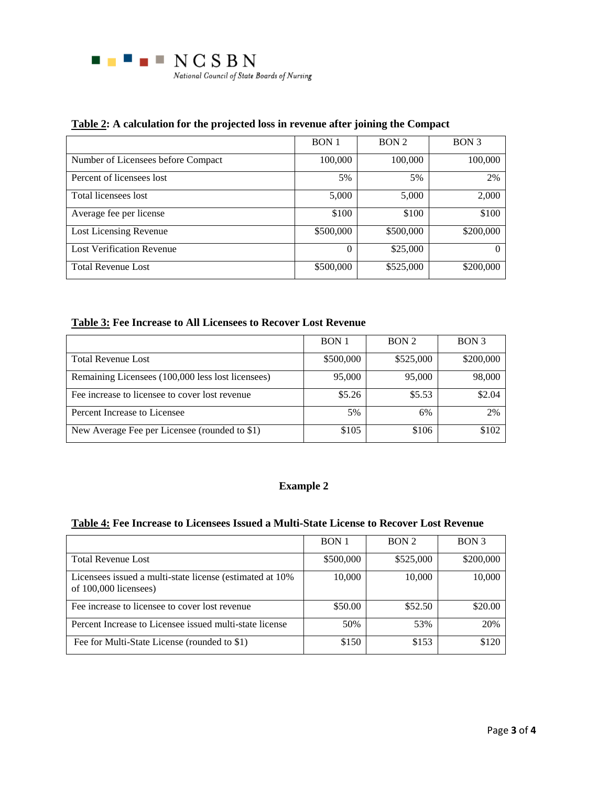

## **Table 2: A calculation for the projected loss in revenue after joining the Compact**

|                                    | <b>BON1</b> | BON <sub>2</sub> | BON <sub>3</sub> |
|------------------------------------|-------------|------------------|------------------|
| Number of Licensees before Compact | 100,000     | 100,000          | 100,000          |
| Percent of licensees lost          | 5%          | 5%               | 2%               |
| Total licensees lost               | 5,000       | 5,000            | 2,000            |
| Average fee per license            | \$100       | \$100            | \$100            |
| Lost Licensing Revenue             | \$500,000   | \$500,000        | \$200,000        |
| <b>Lost Verification Revenue</b>   | 0           | \$25,000         | $_{0}$           |
| <b>Total Revenue Lost</b>          | \$500,000   | \$525,000        | \$200,000        |

## **Table 3: Fee Increase to All Licensees to Recover Lost Revenue**

|                                                   | <b>BON</b> <sub>1</sub> | BON <sub>2</sub> | BON <sub>3</sub> |
|---------------------------------------------------|-------------------------|------------------|------------------|
| <b>Total Revenue Lost</b>                         | \$500,000               | \$525,000        | \$200,000        |
| Remaining Licensees (100,000 less lost licensees) | 95,000                  | 95,000           | 98,000           |
| Fee increase to licensee to cover lost revenue    | \$5.26                  | \$5.53           | \$2.04           |
| Percent Increase to Licensee                      | 5%                      | 6%               | 2%               |
| New Average Fee per Licensee (rounded to \$1)     | \$105                   | \$106            | \$102            |

## **Example 2**

## **Table 4: Fee Increase to Licensees Issued a Multi-State License to Recover Lost Revenue**

|                                                                                    | BON 1     | BON <sub>2</sub> | BON <sub>3</sub> |
|------------------------------------------------------------------------------------|-----------|------------------|------------------|
| <b>Total Revenue Lost</b>                                                          | \$500,000 | \$525,000        | \$200,000        |
| Licensees issued a multi-state license (estimated at 10%)<br>of 100,000 licensees) | 10,000    | 10,000           | 10,000           |
| Fee increase to licensee to cover lost revenue                                     | \$50.00   | \$52.50          | \$20.00          |
| Percent Increase to Licensee issued multi-state license                            | 50%       | 53%              | 20%              |
| Fee for Multi-State License (rounded to \$1)                                       | \$150     | \$153            | \$120            |